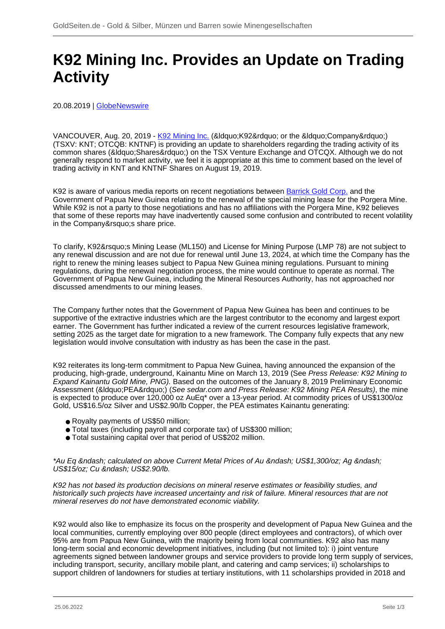## **K92 Mining Inc. Provides an Update on Trading Activity**

## 20.08.2019 | [GlobeNewswire](/profil/261--GlobeNewswire)

VANCOUVER, Aug. 20, 2019 - [K92 Mining Inc.](/minen/3040--K92-Mining-Inc) (&Idquo; K92" or the &Idquo; Company") (TSXV: KNT; OTCQB: KNTNF) is providing an update to shareholders regarding the trading activity of its common shares (&Idquo; Shares") on the TSX Venture Exchange and OTCQX. Although we do not generally respond to market activity, we feel it is appropriate at this time to comment based on the level of trading activity in KNT and KNTNF Shares on August 19, 2019.

K92 is aware of various media reports on recent negotiations between [Barrick Gold Corp.](/minen/49--Barrick-Gold-Corp) and the Government of Papua New Guinea relating to the renewal of the special mining lease for the Porgera Mine. While K92 is not a party to those negotiations and has no affiliations with the Porgera Mine, K92 believes that some of these reports may have inadvertently caused some confusion and contributed to recent volatility in the Company's share price.

To clarify, K92's Mining Lease (ML150) and License for Mining Purpose (LMP 78) are not subject to any renewal discussion and are not due for renewal until June 13, 2024, at which time the Company has the right to renew the mining leases subject to Papua New Guinea mining regulations. Pursuant to mining regulations, during the renewal negotiation process, the mine would continue to operate as normal. The Government of Papua New Guinea, including the Mineral Resources Authority, has not approached nor discussed amendments to our mining leases.

The Company further notes that the Government of Papua New Guinea has been and continues to be supportive of the extractive industries which are the largest contributor to the economy and largest export earner. The Government has further indicated a review of the current resources legislative framework, setting 2025 as the target date for migration to a new framework. The Company fully expects that any new legislation would involve consultation with industry as has been the case in the past.

K92 reiterates its long-term commitment to Papua New Guinea, having announced the expansion of the producing, high-grade, underground, Kainantu Mine on March 13, 2019 (See Press Release: K92 Mining to Expand Kainantu Gold Mine, PNG). Based on the outcomes of the January 8, 2019 Preliminary Economic Assessment (&Idquo; PEA") (See sedar.com and Press Release: K92 Mining PEA Results), the mine is expected to produce over 120,000 oz AuEq\* over a 13-year period. At commodity prices of US\$1300/oz Gold, US\$16.5/oz Silver and US\$2.90/lb Copper, the PEA estimates Kainantu generating:

- Royalty payments of US\$50 million;
- Total taxes (including payroll and corporate tax) of US\$300 million;
- Total sustaining capital over that period of US\$202 million.

## \*Au Eq – calculated on above Current Metal Prices of Au – US\$1,300/oz; Aq – US\$15/oz; Cu – US\$2.90/lb.

K92 has not based its production decisions on mineral reserve estimates or feasibility studies, and historically such projects have increased uncertainty and risk of failure. Mineral resources that are not mineral reserves do not have demonstrated economic viability.

K92 would also like to emphasize its focus on the prosperity and development of Papua New Guinea and the local communities, currently employing over 800 people (direct employees and contractors), of which over 95% are from Papua New Guinea, with the majority being from local communities. K92 also has many long-term social and economic development initiatives, including (but not limited to): i) joint venture agreements signed between landowner groups and service providers to provide long term supply of services, including transport, security, ancillary mobile plant, and catering and camp services; ii) scholarships to support children of landowners for studies at tertiary institutions, with 11 scholarships provided in 2018 and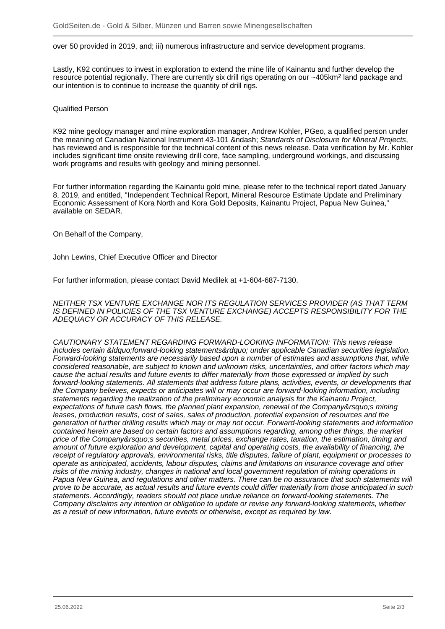over 50 provided in 2019, and; iii) numerous infrastructure and service development programs.

Lastly, K92 continues to invest in exploration to extend the mine life of Kainantu and further develop the resource potential regionally. There are currently six drill rigs operating on our ~405km<sup>2</sup> land package and our intention is to continue to increase the quantity of drill rigs.

## Qualified Person

K92 mine geology manager and mine exploration manager, Andrew Kohler, PGeo, a qualified person under the meaning of Canadian National Instrument 43-101 – Standards of Disclosure for Mineral Projects, has reviewed and is responsible for the technical content of this news release. Data verification by Mr. Kohler includes significant time onsite reviewing drill core, face sampling, underground workings, and discussing work programs and results with geology and mining personnel.

For further information regarding the Kainantu gold mine, please refer to the technical report dated January 8, 2019, and entitled, "Independent Technical Report, Mineral Resource Estimate Update and Preliminary Economic Assessment of Kora North and Kora Gold Deposits, Kainantu Project, Papua New Guinea," available on SEDAR.

On Behalf of the Company,

John Lewins, Chief Executive Officer and Director

For further information, please contact David Medilek at +1-604-687-7130.

NEITHER TSX VENTURE EXCHANGE NOR ITS REGULATION SERVICES PROVIDER (AS THAT TERM IS DEFINED IN POLICIES OF THE TSX VENTURE EXCHANGE) ACCEPTS RESPONSIBILITY FOR THE ADEQUACY OR ACCURACY OF THIS RELEASE.

CAUTIONARY STATEMENT REGARDING FORWARD-LOOKING INFORMATION: This news release includes certain &Idquo:forward-looking statements&rdquo: under applicable Canadian securities legislation. Forward-looking statements are necessarily based upon a number of estimates and assumptions that, while considered reasonable, are subject to known and unknown risks, uncertainties, and other factors which may cause the actual results and future events to differ materially from those expressed or implied by such forward-looking statements. All statements that address future plans, activities, events, or developments that the Company believes, expects or anticipates will or may occur are forward-looking information, including statements regarding the realization of the preliminary economic analysis for the Kainantu Project, expectations of future cash flows, the planned plant expansion, renewal of the Company' s mining leases, production results, cost of sales, sales of production, potential expansion of resources and the generation of further drilling results which may or may not occur. Forward-looking statements and information contained herein are based on certain factors and assumptions regarding, among other things, the market price of the Company' s securities, metal prices, exchange rates, taxation, the estimation, timing and amount of future exploration and development, capital and operating costs, the availability of financing, the receipt of regulatory approvals, environmental risks, title disputes, failure of plant, equipment or processes to operate as anticipated, accidents, labour disputes, claims and limitations on insurance coverage and other risks of the mining industry, changes in national and local government regulation of mining operations in Papua New Guinea, and regulations and other matters. There can be no assurance that such statements will prove to be accurate, as actual results and future events could differ materially from those anticipated in such statements. Accordingly, readers should not place undue reliance on forward-looking statements. The Company disclaims any intention or obligation to update or revise any forward-looking statements, whether as a result of new information, future events or otherwise, except as required by law.